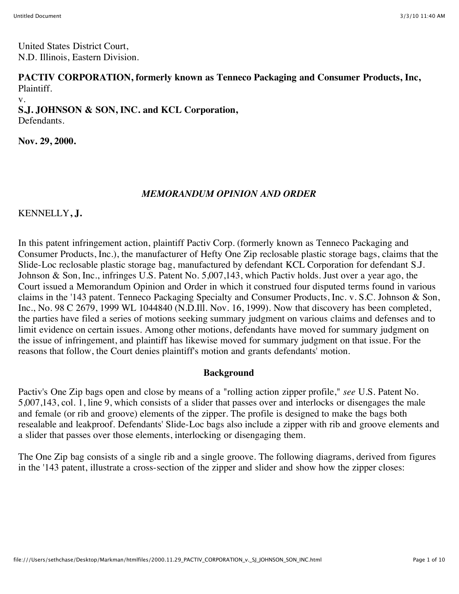United States District Court, N.D. Illinois, Eastern Division.

**PACTIV CORPORATION, formerly known as Tenneco Packaging and Consumer Products, Inc,** Plaintiff.

v.

**S.J. JOHNSON & SON, INC. and KCL Corporation,** Defendants.

**Nov. 29, 2000.**

## *MEMORANDUM OPINION AND ORDER*

## KENNELLY**, J.**

In this patent infringement action, plaintiff Pactiv Corp. (formerly known as Tenneco Packaging and Consumer Products, Inc.), the manufacturer of Hefty One Zip reclosable plastic storage bags, claims that the Slide-Loc reclosable plastic storage bag, manufactured by defendant KCL Corporation for defendant S.J. Johnson & Son, Inc., infringes U.S. Patent No. 5,007,143, which Pactiv holds. Just over a year ago, the Court issued a Memorandum Opinion and Order in which it construed four disputed terms found in various claims in the '143 patent. Tenneco Packaging Specialty and Consumer Products, Inc. v. S.C. Johnson & Son, Inc., No. 98 C 2679, 1999 WL 1044840 (N.D.Ill. Nov. 16, 1999). Now that discovery has been completed, the parties have filed a series of motions seeking summary judgment on various claims and defenses and to limit evidence on certain issues. Among other motions, defendants have moved for summary judgment on the issue of infringement, and plaintiff has likewise moved for summary judgment on that issue. For the reasons that follow, the Court denies plaintiff's motion and grants defendants' motion.

### **Background**

Pactiv's One Zip bags open and close by means of a "rolling action zipper profile," *see* U.S. Patent No. 5,007,143, col. 1, line 9, which consists of a slider that passes over and interlocks or disengages the male and female (or rib and groove) elements of the zipper. The profile is designed to make the bags both resealable and leakproof. Defendants' Slide-Loc bags also include a zipper with rib and groove elements and a slider that passes over those elements, interlocking or disengaging them.

The One Zip bag consists of a single rib and a single groove. The following diagrams, derived from figures in the '143 patent, illustrate a cross-section of the zipper and slider and show how the zipper closes: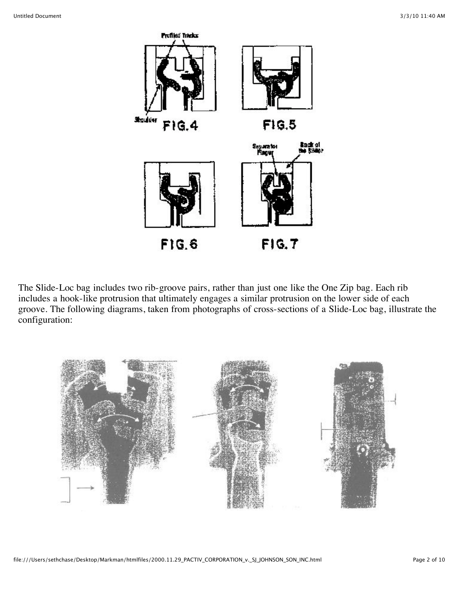

The Slide-Loc bag includes two rib-groove pairs, rather than just one like the One Zip bag. Each rib includes a hook-like protrusion that ultimately engages a similar protrusion on the lower side of each groove. The following diagrams, taken from photographs of cross-sections of a Slide-Loc bag, illustrate the configuration:

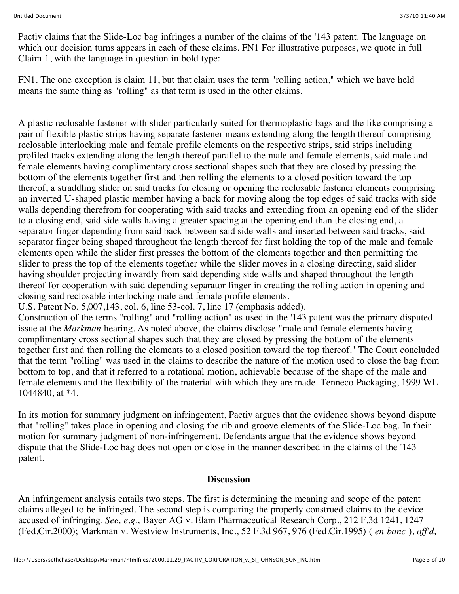Pactiv claims that the Slide-Loc bag infringes a number of the claims of the '143 patent. The language on which our decision turns appears in each of these claims. FN1 For illustrative purposes, we quote in full Claim 1, with the language in question in bold type:

FN1. The one exception is claim 11, but that claim uses the term "rolling action," which we have held means the same thing as "rolling" as that term is used in the other claims.

A plastic reclosable fastener with slider particularly suited for thermoplastic bags and the like comprising a pair of flexible plastic strips having separate fastener means extending along the length thereof comprising reclosable interlocking male and female profile elements on the respective strips, said strips including profiled tracks extending along the length thereof parallel to the male and female elements, said male and female elements having complimentary cross sectional shapes such that they are closed by pressing the bottom of the elements together first and then rolling the elements to a closed position toward the top thereof, a straddling slider on said tracks for closing or opening the reclosable fastener elements comprising an inverted U-shaped plastic member having a back for moving along the top edges of said tracks with side walls depending therefrom for cooperating with said tracks and extending from an opening end of the slider to a closing end, said side walls having a greater spacing at the opening end than the closing end, a separator finger depending from said back between said side walls and inserted between said tracks, said separator finger being shaped throughout the length thereof for first holding the top of the male and female elements open while the slider first presses the bottom of the elements together and then permitting the slider to press the top of the elements together while the slider moves in a closing directing, said slider having shoulder projecting inwardly from said depending side walls and shaped throughout the length thereof for cooperation with said depending separator finger in creating the rolling action in opening and closing said reclosable interlocking male and female profile elements.

U.S. Patent No. 5,007,143, col. 6, line 53-col. 7, line 17 (emphasis added).

Construction of the terms "rolling" and "rolling action" as used in the '143 patent was the primary disputed issue at the *Markman* hearing. As noted above, the claims disclose "male and female elements having complimentary cross sectional shapes such that they are closed by pressing the bottom of the elements together first and then rolling the elements to a closed position toward the top thereof." The Court concluded that the term "rolling" was used in the claims to describe the nature of the motion used to close the bag from bottom to top, and that it referred to a rotational motion, achievable because of the shape of the male and female elements and the flexibility of the material with which they are made. Tenneco Packaging, 1999 WL 1044840, at \*4.

In its motion for summary judgment on infringement, Pactiv argues that the evidence shows beyond dispute that "rolling" takes place in opening and closing the rib and groove elements of the Slide-Loc bag. In their motion for summary judgment of non-infringement, Defendants argue that the evidence shows beyond dispute that the Slide-Loc bag does not open or close in the manner described in the claims of the '143 patent.

### **Discussion**

An infringement analysis entails two steps. The first is determining the meaning and scope of the patent claims alleged to be infringed. The second step is comparing the properly construed claims to the device accused of infringing. *See, e.g.,* Bayer AG v. Elam Pharmaceutical Research Corp., 212 F.3d 1241, 1247 (Fed.Cir.2000); Markman v. Westview Instruments, Inc., 52 F.3d 967, 976 (Fed.Cir.1995) ( *en banc* ), *aff'd,*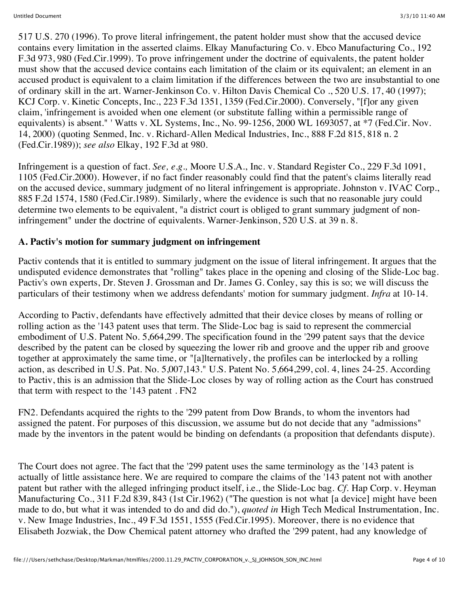517 U.S. 270 (1996). To prove literal infringement, the patent holder must show that the accused device contains every limitation in the asserted claims. Elkay Manufacturing Co. v. Ebco Manufacturing Co., 192 F.3d 973, 980 (Fed.Cir.1999). To prove infringement under the doctrine of equivalents, the patent holder must show that the accused device contains each limitation of the claim or its equivalent; an element in an accused product is equivalent to a claim limitation if the differences between the two are insubstantial to one of ordinary skill in the art. Warner-Jenkinson Co. v. Hilton Davis Chemical Co ., 520 U.S. 17, 40 (1997); KCJ Corp. v. Kinetic Concepts, Inc., 223 F.3d 1351, 1359 (Fed.Cir.2000). Conversely, "[f]or any given claim, 'infringement is avoided when one element (or substitute falling within a permissible range of equivalents) is absent." ' Watts v. XL Systems, Inc., No. 99-1256, 2000 WL 1693057, at \*7 (Fed.Cir. Nov. 14, 2000) (quoting Senmed, Inc. v. Richard-Allen Medical Industries, Inc., 888 F.2d 815, 818 n. 2 (Fed.Cir.1989)); *see also* Elkay, 192 F.3d at 980.

Infringement is a question of fact. *See, e.g.,* Moore U.S.A., Inc. v. Standard Register Co., 229 F.3d 1091, 1105 (Fed.Cir.2000). However, if no fact finder reasonably could find that the patent's claims literally read on the accused device, summary judgment of no literal infringement is appropriate. Johnston v. IVAC Corp., 885 F.2d 1574, 1580 (Fed.Cir.1989). Similarly, where the evidence is such that no reasonable jury could determine two elements to be equivalent, "a district court is obliged to grant summary judgment of noninfringement" under the doctrine of equivalents. Warner-Jenkinson, 520 U.S. at 39 n. 8.

# **A. Pactiv's motion for summary judgment on infringement**

Pactiv contends that it is entitled to summary judgment on the issue of literal infringement. It argues that the undisputed evidence demonstrates that "rolling" takes place in the opening and closing of the Slide-Loc bag. Pactiv's own experts, Dr. Steven J. Grossman and Dr. James G. Conley, say this is so; we will discuss the particulars of their testimony when we address defendants' motion for summary judgment. *Infra* at 10-14.

According to Pactiv, defendants have effectively admitted that their device closes by means of rolling or rolling action as the '143 patent uses that term. The Slide-Loc bag is said to represent the commercial embodiment of U.S. Patent No. 5,664,299. The specification found in the '299 patent says that the device described by the patent can be closed by squeezing the lower rib and groove and the upper rib and groove together at approximately the same time, or "[a]lternatively, the profiles can be interlocked by a rolling action, as described in U.S. Pat. No. 5,007,143." U.S. Patent No. 5,664,299, col. 4, lines 24-25. According to Pactiv, this is an admission that the Slide-Loc closes by way of rolling action as the Court has construed that term with respect to the '143 patent . FN2

FN2. Defendants acquired the rights to the '299 patent from Dow Brands, to whom the inventors had assigned the patent. For purposes of this discussion, we assume but do not decide that any "admissions" made by the inventors in the patent would be binding on defendants (a proposition that defendants dispute).

The Court does not agree. The fact that the '299 patent uses the same terminology as the '143 patent is actually of little assistance here. We are required to compare the claims of the '143 patent not with another patent but rather with the alleged infringing product itself, i.e., the Slide-Loc bag. *Cf.* Hap Corp. v. Heyman Manufacturing Co., 311 F.2d 839, 843 (1st Cir.1962) ("The question is not what [a device] might have been made to do, but what it was intended to do and did do."), *quoted in* High Tech Medical Instrumentation, Inc. v. New Image Industries, Inc., 49 F.3d 1551, 1555 (Fed.Cir.1995). Moreover, there is no evidence that Elisabeth Jozwiak, the Dow Chemical patent attorney who drafted the '299 patent, had any knowledge of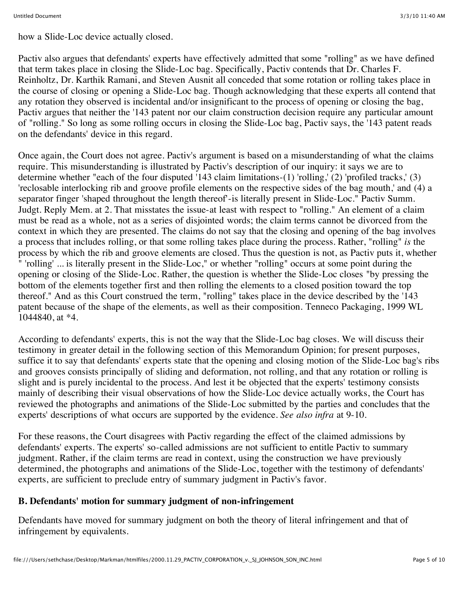how a Slide-Loc device actually closed.

Pactiv also argues that defendants' experts have effectively admitted that some "rolling" as we have defined that term takes place in closing the Slide-Loc bag. Specifically, Pactiv contends that Dr. Charles F. Reinholtz, Dr. Karthik Ramani, and Steven Ausnit all conceded that some rotation or rolling takes place in the course of closing or opening a Slide-Loc bag. Though acknowledging that these experts all contend that any rotation they observed is incidental and/or insignificant to the process of opening or closing the bag, Pactiv argues that neither the '143 patent nor our claim construction decision require any particular amount of "rolling." So long as some rolling occurs in closing the Slide-Loc bag, Pactiv says, the '143 patent reads on the defendants' device in this regard.

Once again, the Court does not agree. Pactiv's argument is based on a misunderstanding of what the claims require. This misunderstanding is illustrated by Pactiv's description of our inquiry: it says we are to determine whether "each of the four disputed '143 claim limitations-(1) 'rolling,' (2) 'profiled tracks,' (3) 'reclosable interlocking rib and groove profile elements on the respective sides of the bag mouth,' and (4) a separator finger 'shaped throughout the length thereof'-is literally present in Slide-Loc." Pactiv Summ. Judgt. Reply Mem. at 2. That misstates the issue-at least with respect to "rolling." An element of a claim must be read as a whole, not as a series of disjointed words; the claim terms cannot be divorced from the context in which they are presented. The claims do not say that the closing and opening of the bag involves a process that includes rolling, or that some rolling takes place during the process. Rather, "rolling" *is* the process by which the rib and groove elements are closed. Thus the question is not, as Pactiv puts it, whether " 'rolling' ... is literally present in the Slide-Loc," or whether "rolling" occurs at some point during the opening or closing of the Slide-Loc. Rather, the question is whether the Slide-Loc closes "by pressing the bottom of the elements together first and then rolling the elements to a closed position toward the top thereof." And as this Court construed the term, "rolling" takes place in the device described by the '143 patent because of the shape of the elements, as well as their composition. Tenneco Packaging, 1999 WL 1044840, at \*4.

According to defendants' experts, this is not the way that the Slide-Loc bag closes. We will discuss their testimony in greater detail in the following section of this Memorandum Opinion; for present purposes, suffice it to say that defendants' experts state that the opening and closing motion of the Slide-Loc bag's ribs and grooves consists principally of sliding and deformation, not rolling, and that any rotation or rolling is slight and is purely incidental to the process. And lest it be objected that the experts' testimony consists mainly of describing their visual observations of how the Slide-Loc device actually works, the Court has reviewed the photographs and animations of the Slide-Loc submitted by the parties and concludes that the experts' descriptions of what occurs are supported by the evidence. *See also infra* at 9-10.

For these reasons, the Court disagrees with Pactiv regarding the effect of the claimed admissions by defendants' experts. The experts' so-called admissions are not sufficient to entitle Pactiv to summary judgment. Rather, if the claim terms are read in context, using the construction we have previously determined, the photographs and animations of the Slide-Loc, together with the testimony of defendants' experts, are sufficient to preclude entry of summary judgment in Pactiv's favor.

## **B. Defendants' motion for summary judgment of non-infringement**

Defendants have moved for summary judgment on both the theory of literal infringement and that of infringement by equivalents.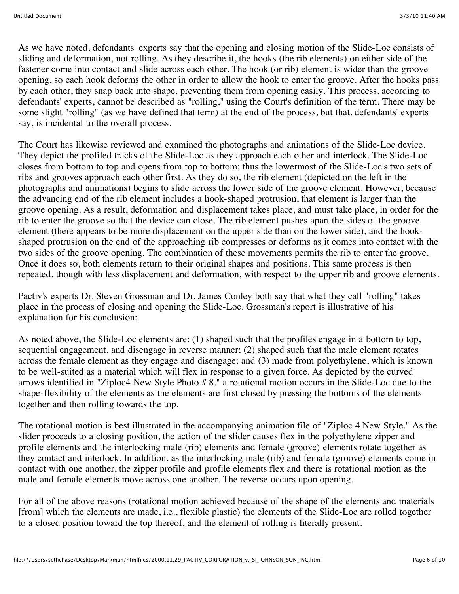As we have noted, defendants' experts say that the opening and closing motion of the Slide-Loc consists of sliding and deformation, not rolling. As they describe it, the hooks (the rib elements) on either side of the fastener come into contact and slide across each other. The hook (or rib) element is wider than the groove opening, so each hook deforms the other in order to allow the hook to enter the groove. After the hooks pass by each other, they snap back into shape, preventing them from opening easily. This process, according to defendants' experts, cannot be described as "rolling," using the Court's definition of the term. There may be some slight "rolling" (as we have defined that term) at the end of the process, but that, defendants' experts say, is incidental to the overall process.

The Court has likewise reviewed and examined the photographs and animations of the Slide-Loc device. They depict the profiled tracks of the Slide-Loc as they approach each other and interlock. The Slide-Loc closes from bottom to top and opens from top to bottom; thus the lowermost of the Slide-Loc's two sets of ribs and grooves approach each other first. As they do so, the rib element (depicted on the left in the photographs and animations) begins to slide across the lower side of the groove element. However, because the advancing end of the rib element includes a hook-shaped protrusion, that element is larger than the groove opening. As a result, deformation and displacement takes place, and must take place, in order for the rib to enter the groove so that the device can close. The rib element pushes apart the sides of the groove element (there appears to be more displacement on the upper side than on the lower side), and the hookshaped protrusion on the end of the approaching rib compresses or deforms as it comes into contact with the two sides of the groove opening. The combination of these movements permits the rib to enter the groove. Once it does so, both elements return to their original shapes and positions. This same process is then repeated, though with less displacement and deformation, with respect to the upper rib and groove elements.

Pactiv's experts Dr. Steven Grossman and Dr. James Conley both say that what they call "rolling" takes place in the process of closing and opening the Slide-Loc. Grossman's report is illustrative of his explanation for his conclusion:

As noted above, the Slide-Loc elements are: (1) shaped such that the profiles engage in a bottom to top, sequential engagement, and disengage in reverse manner; (2) shaped such that the male element rotates across the female element as they engage and disengage; and (3) made from polyethylene, which is known to be well-suited as a material which will flex in response to a given force. As depicted by the curved arrows identified in "Ziploc4 New Style Photo # 8," a rotational motion occurs in the Slide-Loc due to the shape-flexibility of the elements as the elements are first closed by pressing the bottoms of the elements together and then rolling towards the top.

The rotational motion is best illustrated in the accompanying animation file of "Ziploc 4 New Style." As the slider proceeds to a closing position, the action of the slider causes flex in the polyethylene zipper and profile elements and the interlocking male (rib) elements and female (groove) elements rotate together as they contact and interlock. In addition, as the interlocking male (rib) and female (groove) elements come in contact with one another, the zipper profile and profile elements flex and there is rotational motion as the male and female elements move across one another. The reverse occurs upon opening.

For all of the above reasons (rotational motion achieved because of the shape of the elements and materials [from] which the elements are made, i.e., flexible plastic) the elements of the Slide-Loc are rolled together to a closed position toward the top thereof, and the element of rolling is literally present.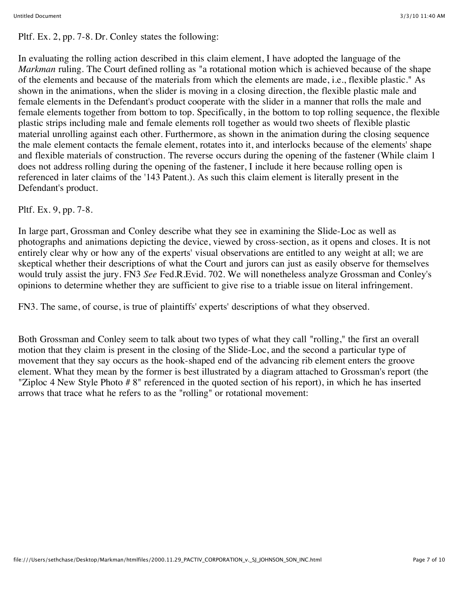Pltf. Ex. 2, pp. 7-8. Dr. Conley states the following:

In evaluating the rolling action described in this claim element, I have adopted the language of the *Markman* ruling. The Court defined rolling as "a rotational motion which is achieved because of the shape of the elements and because of the materials from which the elements are made, i.e., flexible plastic." As shown in the animations, when the slider is moving in a closing direction, the flexible plastic male and female elements in the Defendant's product cooperate with the slider in a manner that rolls the male and female elements together from bottom to top. Specifically, in the bottom to top rolling sequence, the flexible plastic strips including male and female elements roll together as would two sheets of flexible plastic material unrolling against each other. Furthermore, as shown in the animation during the closing sequence the male element contacts the female element, rotates into it, and interlocks because of the elements' shape and flexible materials of construction. The reverse occurs during the opening of the fastener (While claim 1 does not address rolling during the opening of the fastener, I include it here because rolling open is referenced in later claims of the '143 Patent.). As such this claim element is literally present in the Defendant's product.

## Pltf. Ex. 9, pp. 7-8.

In large part, Grossman and Conley describe what they see in examining the Slide-Loc as well as photographs and animations depicting the device, viewed by cross-section, as it opens and closes. It is not entirely clear why or how any of the experts' visual observations are entitled to any weight at all; we are skeptical whether their descriptions of what the Court and jurors can just as easily observe for themselves would truly assist the jury. FN3 *See* Fed.R.Evid. 702. We will nonetheless analyze Grossman and Conley's opinions to determine whether they are sufficient to give rise to a triable issue on literal infringement.

FN3. The same, of course, is true of plaintiffs' experts' descriptions of what they observed.

Both Grossman and Conley seem to talk about two types of what they call "rolling," the first an overall motion that they claim is present in the closing of the Slide-Loc, and the second a particular type of movement that they say occurs as the hook-shaped end of the advancing rib element enters the groove element. What they mean by the former is best illustrated by a diagram attached to Grossman's report (the "Ziploc 4 New Style Photo # 8" referenced in the quoted section of his report), in which he has inserted arrows that trace what he refers to as the "rolling" or rotational movement: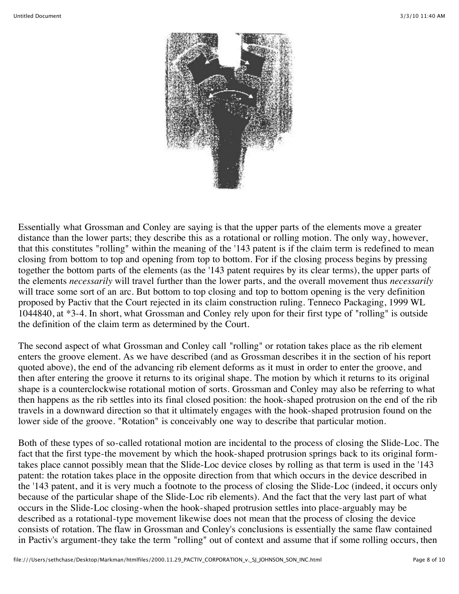

Essentially what Grossman and Conley are saying is that the upper parts of the elements move a greater distance than the lower parts; they describe this as a rotational or rolling motion. The only way, however, that this constitutes "rolling" within the meaning of the '143 patent is if the claim term is redefined to mean closing from bottom to top and opening from top to bottom. For if the closing process begins by pressing together the bottom parts of the elements (as the '143 patent requires by its clear terms), the upper parts of the elements *necessarily* will travel further than the lower parts, and the overall movement thus *necessarily* will trace some sort of an arc. But bottom to top closing and top to bottom opening is the very definition proposed by Pactiv that the Court rejected in its claim construction ruling. Tenneco Packaging, 1999 WL 1044840, at \*3-4. In short, what Grossman and Conley rely upon for their first type of "rolling" is outside the definition of the claim term as determined by the Court.

The second aspect of what Grossman and Conley call "rolling" or rotation takes place as the rib element enters the groove element. As we have described (and as Grossman describes it in the section of his report quoted above), the end of the advancing rib element deforms as it must in order to enter the groove, and then after entering the groove it returns to its original shape. The motion by which it returns to its original shape is a counterclockwise rotational motion of sorts. Grossman and Conley may also be referring to what then happens as the rib settles into its final closed position: the hook-shaped protrusion on the end of the rib travels in a downward direction so that it ultimately engages with the hook-shaped protrusion found on the lower side of the groove. "Rotation" is conceivably one way to describe that particular motion.

Both of these types of so-called rotational motion are incidental to the process of closing the Slide-Loc. The fact that the first type-the movement by which the hook-shaped protrusion springs back to its original formtakes place cannot possibly mean that the Slide-Loc device closes by rolling as that term is used in the '143 patent: the rotation takes place in the opposite direction from that which occurs in the device described in the '143 patent, and it is very much a footnote to the process of closing the Slide-Loc (indeed, it occurs only because of the particular shape of the Slide-Loc rib elements). And the fact that the very last part of what occurs in the Slide-Loc closing-when the hook-shaped protrusion settles into place-arguably may be described as a rotational-type movement likewise does not mean that the process of closing the device consists of rotation. The flaw in Grossman and Conley's conclusions is essentially the same flaw contained in Pactiv's argument-they take the term "rolling" out of context and assume that if some rolling occurs, then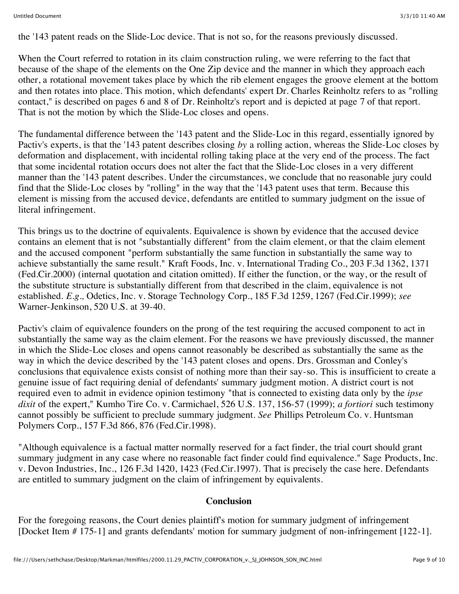the '143 patent reads on the Slide-Loc device. That is not so, for the reasons previously discussed.

When the Court referred to rotation in its claim construction ruling, we were referring to the fact that because of the shape of the elements on the One Zip device and the manner in which they approach each other, a rotational movement takes place by which the rib element engages the groove element at the bottom and then rotates into place. This motion, which defendants' expert Dr. Charles Reinholtz refers to as "rolling contact," is described on pages 6 and 8 of Dr. Reinholtz's report and is depicted at page 7 of that report. That is not the motion by which the Slide-Loc closes and opens.

The fundamental difference between the '143 patent and the Slide-Loc in this regard, essentially ignored by Pactiv's experts, is that the '143 patent describes closing *by* a rolling action, whereas the Slide-Loc closes by deformation and displacement, with incidental rolling taking place at the very end of the process. The fact that some incidental rotation occurs does not alter the fact that the Slide-Loc closes in a very different manner than the '143 patent describes. Under the circumstances, we conclude that no reasonable jury could find that the Slide-Loc closes by "rolling" in the way that the '143 patent uses that term. Because this element is missing from the accused device, defendants are entitled to summary judgment on the issue of literal infringement.

This brings us to the doctrine of equivalents. Equivalence is shown by evidence that the accused device contains an element that is not "substantially different" from the claim element, or that the claim element and the accused component "perform substantially the same function in substantially the same way to achieve substantially the same result." Kraft Foods, Inc. v. International Trading Co., 203 F.3d 1362, 1371 (Fed.Cir.2000) (internal quotation and citation omitted). If either the function, or the way, or the result of the substitute structure is substantially different from that described in the claim, equivalence is not established. *E.g.,* Odetics, Inc. v. Storage Technology Corp., 185 F.3d 1259, 1267 (Fed.Cir.1999); *see* Warner-Jenkinson, 520 U.S. at 39-40.

Pactiv's claim of equivalence founders on the prong of the test requiring the accused component to act in substantially the same way as the claim element. For the reasons we have previously discussed, the manner in which the Slide-Loc closes and opens cannot reasonably be described as substantially the same as the way in which the device described by the '143 patent closes and opens. Drs. Grossman and Conley's conclusions that equivalence exists consist of nothing more than their say-so. This is insufficient to create a genuine issue of fact requiring denial of defendants' summary judgment motion. A district court is not required even to admit in evidence opinion testimony "that is connected to existing data only by the *ipse dixit* of the expert," Kumho Tire Co. v. Carmichael, 526 U.S. 137, 156-57 (1999); *a fortiori* such testimony cannot possibly be sufficient to preclude summary judgment. *See* Phillips Petroleum Co. v. Huntsman Polymers Corp., 157 F.3d 866, 876 (Fed.Cir.1998).

"Although equivalence is a factual matter normally reserved for a fact finder, the trial court should grant summary judgment in any case where no reasonable fact finder could find equivalence." Sage Products, Inc. v. Devon Industries, Inc., 126 F.3d 1420, 1423 (Fed.Cir.1997). That is precisely the case here. Defendants are entitled to summary judgment on the claim of infringement by equivalents.

### **Conclusion**

For the foregoing reasons, the Court denies plaintiff's motion for summary judgment of infringement [Docket Item # 175-1] and grants defendants' motion for summary judgment of non-infringement [122-1].